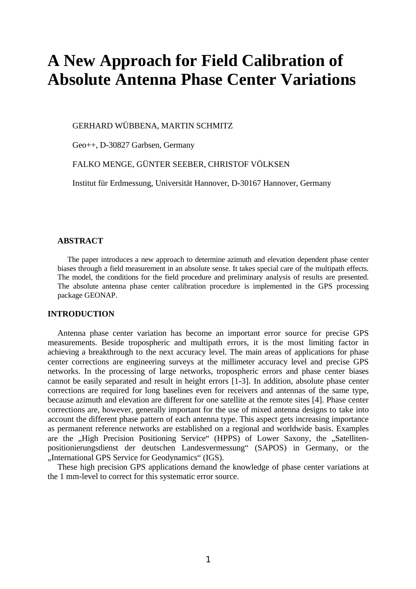# **A New Approach for Field Calibration of Absolute Antenna Phase Center Variations**

GERHARD WÜBBENA, MARTIN SCHMITZ

Geo++, D-30827 Garbsen, Germany

FALKO MENGE, GÜNTER SEEBER, CHRISTOF VÖLKSEN

Institut für Erdmessung, Universität Hannover, D-30167 Hannover, Germany

# **ABSTRACT**

The paper introduces a new approach to determine azimuth and elevation dependent phase center biases through a field measurement in an absolute sense. It takes special care of the multipath effects. The model, the conditions for the field procedure and preliminary analysis of results are presented. The absolute antenna phase center calibration procedure is implemented in the GPS processing package GEONAP.

### **INTRODUCTION**

Antenna phase center variation has become an important error source for precise GPS measurements. Beside tropospheric and multipath errors, it is the most limiting factor in achieving a breakthrough to the next accuracy level. The main areas of applications for phase center corrections are engineering surveys at the millimeter accuracy level and precise GPS networks. In the processing of large networks, tropospheric errors and phase center biases cannot be easily separated and result in height errors [1-3]. In addition, absolute phase center corrections are required for long baselines even for receivers and antennas of the same type, because azimuth and elevation are different for one satellite at the remote sites [4]. Phase center corrections are, however, generally important for the use of mixed antenna designs to take into account the different phase pattern of each antenna type. This aspect gets increasing importance as permanent reference networks are established on a regional and worldwide basis. Examples are the "High Precision Positioning Service" (HPPS) of Lower Saxony, the "Satellitenpositionierungsdienst der deutschen Landesvermessung" (SAPOS) in Germany, or the "International GPS Service for Geodynamics" (IGS).

These high precision GPS applications demand the knowledge of phase center variations at the 1 mm-level to correct for this systematic error source.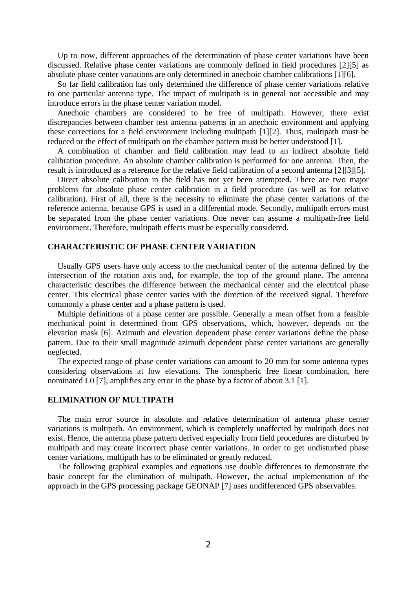Up to now, different approaches of the determination of phase center variations have been discussed. Relative phase center variations are commonly defined in field procedures [2][5] as absolute phase center variations are only determined in anechoic chamber calibrations [1][6].

So far field calibration has only determined the difference of phase center variations relative to one particular antenna type. The impact of multipath is in general not accessible and may introduce errors in the phase center variation model.

Anechoic chambers are considered to be free of multipath. However, there exist discrepancies between chamber test antenna patterns in an anechoic environment and applying these corrections for a field environment including multipath [1][2]. Thus, multipath must be reduced or the effect of multipath on the chamber pattern must be better understood [1].

A combination of chamber and field calibration may lead to an indirect absolute field calibration procedure. An absolute chamber calibration is performed for one antenna. Then, the result is introduced as a reference for the relative field calibration of a second antenna [2][3][5].

Direct absolute calibration in the field has not yet been attempted. There are two major problems for absolute phase center calibration in a field procedure (as well as for relative calibration). First of all, there is the necessity to eliminate the phase center variations of the reference antenna, because GPS is used in a differential mode. Secondly, multipath errors must be separated from the phase center variations. One never can assume a multipath-free field environment. Therefore, multipath effects must be especially considered.

# **CHARACTERISTIC OF PHASE CENTER VARIATION**

Usually GPS users have only access to the mechanical center of the antenna defined by the intersection of the rotation axis and, for example, the top of the ground plane. The antenna characteristic describes the difference between the mechanical center and the electrical phase center. This electrical phase center varies with the direction of the received signal. Therefore commonly a phase center and a phase pattern is used.

Multiple definitions of a phase center are possible. Generally a mean offset from a feasible mechanical point is determined from GPS observations, which, however, depends on the elevation mask [6]. Azimuth and elevation dependent phase center variations define the phase pattern. Due to their small magnitude azimuth dependent phase center variations are generally neglected.

The expected range of phase center variations can amount to 20 mm for some antenna types considering observations at low elevations. The ionospheric free linear combination, here nominated L0 [7], amplifies any error in the phase by a factor of about 3.1 [1].

### **ELIMINATION OF MULTIPATH**

The main error source in absolute and relative determination of antenna phase center variations is multipath. An environment, which is completely unaffected by multipath does not exist. Hence, the antenna phase pattern derived especially from field procedures are disturbed by multipath and may create incorrect phase center variations. In order to get undisturbed phase center variations, multipath has to be eliminated or greatly reduced.

The following graphical examples and equations use double differences to demonstrate the basic concept for the elimination of multipath. However, the actual implementation of the approach in the GPS processing package GEONAP [7] uses undifferenced GPS observables.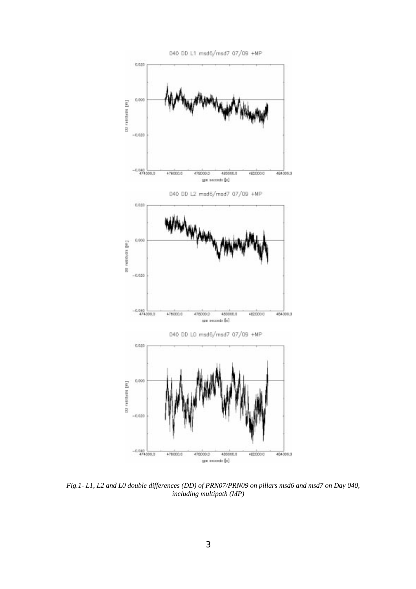

*Fig.1- L1, L2 and L0 double differences (DD) of PRN07/PRN09 on pillars msd6 and msd7 on Day 040, including multipath (MP)*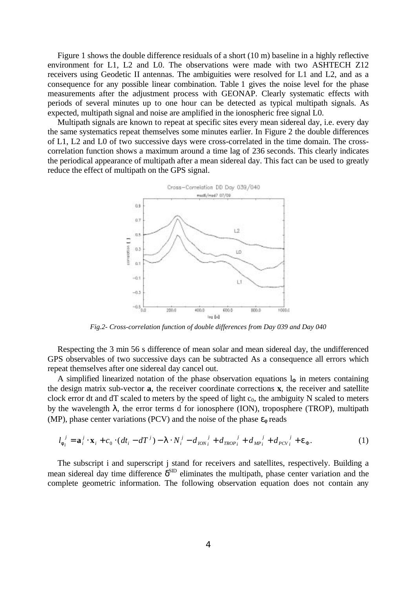Figure 1 shows the double difference residuals of a short (10 m) baseline in a highly reflective environment for L1, L2 and L0. The observations were made with two ASHTECH Z12 receivers using Geodetic II antennas. The ambiguities were resolved for L1 and L2, and as a consequence for any possible linear combination. Table 1 gives the noise level for the phase measurements after the adjustment process with GEONAP. Clearly systematic effects with periods of several minutes up to one hour can be detected as typical multipath signals. As expected, multipath signal and noise are amplified in the ionospheric free signal L0.

Multipath signals are known to repeat at specific sites every mean sidereal day, i.e. every day the same systematics repeat themselves some minutes earlier. In Figure 2 the double differences of L1, L2 and L0 of two successive days were cross-correlated in the time domain. The crosscorrelation function shows a maximum around a time lag of 236 seconds. This clearly indicates the periodical appearance of multipath after a mean sidereal day. This fact can be used to greatly reduce the effect of multipath on the GPS signal.



*Fig.2- Cross-correlation function of double differences from Day 039 and Day 040*

Respecting the 3 min 56 s difference of mean solar and mean sidereal day, the undifferenced GPS observables of two successive days can be subtracted As a consequence all errors which repeat themselves after one sidereal day cancel out.

A simplified linearized notation of the phase observation equations  $l_{\Phi}$  in meters containing the design matrix sub-vector **a**, the receiver coordinate corrections **x**, the receiver and satellite clock error dt and dT scaled to meters by the speed of light  $c_0$ , the ambiguity N scaled to meters by the wavelength  $\lambda$ , the error terms d for ionosphere (ION), troposphere (TROP), multipath (MP), phase center variations (PCV) and the noise of the phase  $\varepsilon_{\phi}$  reads

$$
l_{\phi_i}^j = \mathbf{a}_i^j \cdot \mathbf{x}_i + c_0 \cdot (dt_i - dT^j) - \lambda \cdot N_i^j - d_{ION_i}^j + d_{TROP_i}^j + d_{MP_i}^j + d_{PCV_i}^j + \varepsilon_{\Phi}.
$$
 (1)

The subscript i and superscript j stand for receivers and satellites, respectively. Building a mean sidereal day time difference  $\delta^{\text{SID}}$  eliminates the multipath, phase center variation and the complete geometric information. The following observation equation does not contain any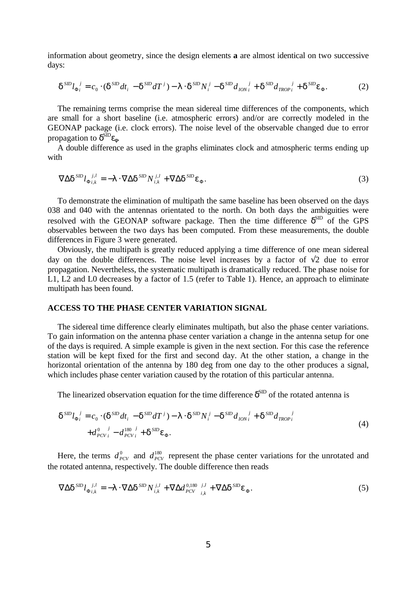information about geometry, since the design elements **a** are almost identical on two successive days:

$$
\delta^{SD} l_{\Phi_i}^{\ \ j} = c_0 \cdot (\delta^{SD} dt_i - \delta^{SD} dT^j) - \lambda \cdot \delta^{SD} N_i^{\ j} - \delta^{SD} d_{ION_i}^{\ \ j} + \delta^{SD} d_{TROP_i}^{\ \ j} + \delta^{SD} \varepsilon_{\Phi}.
$$

The remaining terms comprise the mean sidereal time differences of the components, which are small for a short baseline (i.e. atmospheric errors) and/or are correctly modeled in the GEONAP package (i.e. clock errors). The noise level of the observable changed due to error propagation to  $\delta^{\text{SID}}\epsilon_{\phi}$ .

A double difference as used in the graphs eliminates clock and atmospheric terms ending up with

$$
\nabla \Delta \delta^{SD} l_{\Phi_{i,k}}^{\quad j,l} = -\lambda \cdot \nabla \Delta \delta^{SD} N_{i,k}^{\quad j,l} + \nabla \Delta \delta^{SD} \varepsilon_{\Phi}.
$$
\n(3)

To demonstrate the elimination of multipath the same baseline has been observed on the days 038 and 040 with the antennas orientated to the north. On both days the ambiguities were resolved with the GEONAP software package. Then the time difference  $\delta^{\text{SD}}$  of the GPS observables between the two days has been computed. From these measurements, the double differences in Figure 3 were generated.

Obviously, the multipath is greatly reduced applying a time difference of one mean sidereal day on the double differences. The noise level increases by a factor of  $\sqrt{2}$  due to error propagation. Nevertheless, the systematic multipath is dramatically reduced. The phase noise for L1, L2 and L0 decreases by a factor of 1.5 (refer to Table 1). Hence, an approach to eliminate multipath has been found.

### **ACCESS TO THE PHASE CENTER VARIATION SIGNAL**

The sidereal time difference clearly eliminates multipath, but also the phase center variations. To gain information on the antenna phase center variation a change in the antenna setup for one of the days is required. A simple example is given in the next section. For this case the reference station will be kept fixed for the first and second day. At the other station, a change in the horizontal orientation of the antenna by 180 deg from one day to the other produces a signal, which includes phase center variation caused by the rotation of this particular antenna.

The linearized observation equation for the time difference  $\delta^{\text{SD}}$  of the rotated antenna is

$$
\delta^{SD} l_{\Phi_i}^{\ \ j} = c_0 \cdot (\delta^{SD} dt_i - \delta^{SD} dT^j) - \lambda \cdot \delta^{SD} N_i^{\ j} - \delta^{SD} d_{ION_i}^{\ \ j} + \delta^{SD} d_{TROP_i}^{\ \ j} + d_{PCV_i}^0 - d_{PCV_i}^{180 \ \ j} + \delta^{SD} \epsilon_{\Phi}.
$$
\n
$$
(4)
$$

Here, the terms  $d_{PCV}^0$  and  $d_{PCV}^{180}$  represent the phase center variations for the unrotated and the rotated antenna, respectively. The double difference then reads

$$
\nabla \Delta \delta^{SD} l_{\Phi_{i,k}}^{\quad j,l} = -\lambda \cdot \nabla \Delta \delta^{SD} N_{i,k}^{\quad j,l} + \nabla \Delta d_{PCV}^{0,180}{}_{i,k}^{\quad j,l} + \nabla \Delta \delta^{SD} \varepsilon_{\Phi}.
$$
\n
$$
\tag{5}
$$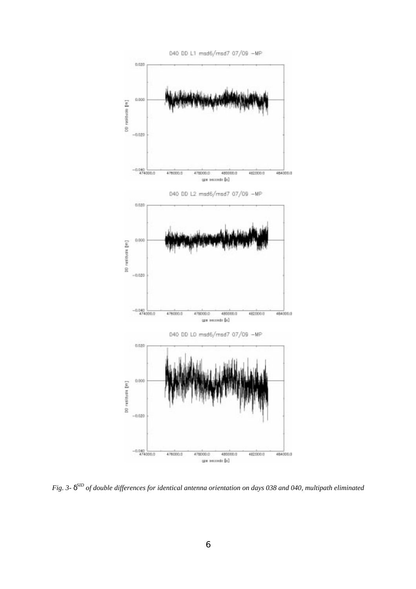

*Fig. 3-* δ*SID of double differences for identical antenna orientation on days 038 and 040, multipath eliminated*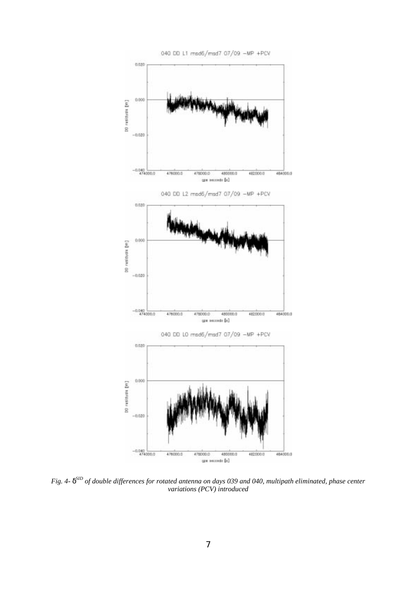

*Fig. 4-* δ*SID of double differences for rotated antenna on days 039 and 040, multipath eliminated, phase center variations (PCV) introduced*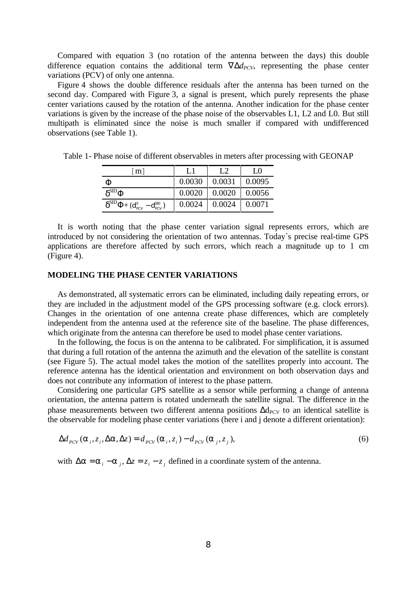Compared with equation 3 (no rotation of the antenna between the days) this double difference equation contains the additional term  $\nabla \Delta d_{PCV}$ , representing the phase center variations (PCV) of only one antenna.

Figure 4 shows the double difference residuals after the antenna has been turned on the second day. Compared with Figure 3, a signal is present, which purely represents the phase center variations caused by the rotation of the antenna. Another indication for the phase center variations is given by the increase of the phase noise of the observables L1, L2 and L0. But still multipath is eliminated since the noise is much smaller if compared with undifferenced observations (see Table 1).

| $\lceil m \rceil$                                                     | L1     | L2     | LΩ     |
|-----------------------------------------------------------------------|--------|--------|--------|
| Ф                                                                     | 0.0030 | 0.0031 | 0.0095 |
| $\delta^{\rm SID}$ Ф                                                  | 0.0020 | 0.0020 | 0.0056 |
| $\delta^{\rm SID}\Phi\mathrm{+(d_{\rm PCV}^0-d_{\rm PCV}^{\rm 180})}$ | 0.0024 | 0.0024 | 0.0071 |

Table 1- Phase noise of different observables in meters after processing with GEONAP

It is worth noting that the phase center variation signal represents errors, which are introduced by not considering the orientation of two antennas. Today`s precise real-time GPS applications are therefore affected by such errors, which reach a magnitude up to 1 cm (Figure 4).

# **MODELING THE PHASE CENTER VARIATIONS**

As demonstrated, all systematic errors can be eliminated, including daily repeating errors, or they are included in the adjustment model of the GPS processing software (e.g. clock errors). Changes in the orientation of one antenna create phase differences, which are completely independent from the antenna used at the reference site of the baseline. The phase differences, which originate from the antenna can therefore be used to model phase center variations.

In the following, the focus is on the antenna to be calibrated. For simplification, it is assumed that during a full rotation of the antenna the azimuth and the elevation of the satellite is constant (see Figure 5). The actual model takes the motion of the satellites properly into account. The reference antenna has the identical orientation and environment on both observation days and does not contribute any information of interest to the phase pattern.

Considering one particular GPS satellite as a sensor while performing a change of antenna orientation, the antenna pattern is rotated underneath the satellite signal. The difference in the phase measurements between two different antenna positions ∆d<sub>PCV</sub> to an identical satellite is the observable for modeling phase center variations (here i and j denote a different orientation):

$$
\Delta d_{PCV}(\alpha_i, z_i, \Delta \alpha, \Delta z) = d_{PCV}(\alpha_i, z_i) - d_{PCV}(\alpha_j, z_j),
$$
\n(6)

with  $\Delta \alpha = \alpha_i - \alpha_j$ ,  $\Delta z = z_i - z_j$  defined in a coordinate system of the antenna.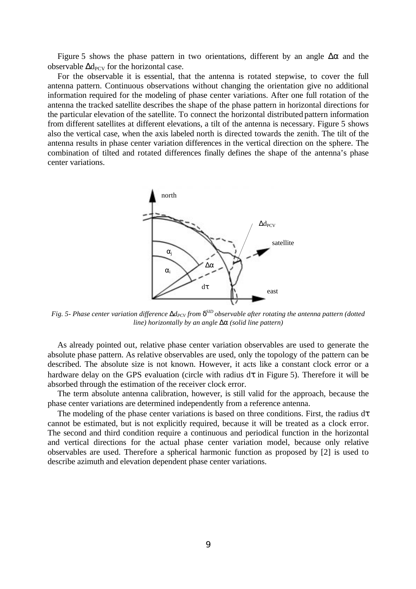Figure 5 shows the phase pattern in two orientations, different by an angle  $\Delta \alpha$  and the observable  $\Delta d_{PCV}$  for the horizontal case.

For the observable it is essential, that the antenna is rotated stepwise, to cover the full antenna pattern. Continuous observations without changing the orientation give no additional information required for the modeling of phase center variations. After one full rotation of the antenna the tracked satellite describes the shape of the phase pattern in horizontal directions for the particular elevation of the satellite. To connect the horizontal distributed pattern information from different satellites at different elevations, a tilt of the antenna is necessary. Figure 5 shows also the vertical case, when the axis labeled north is directed towards the zenith. The tilt of the antenna results in phase center variation differences in the vertical direction on the sphere. The combination of tilted and rotated differences finally defines the shape of the antenna's phase center variations.



*Fig. 5- Phase center variation difference* ∆*d<sub>PCV</sub> from*  $\delta^{SD}$  *observable after rotating the antenna pattern (dotted line) horizontally by an angle* ∆α *(solid line pattern)*

As already pointed out, relative phase center variation observables are used to generate the absolute phase pattern. As relative observables are used, only the topology of the pattern can be described. The absolute size is not known. However, it acts like a constant clock error or a hardware delay on the GPS evaluation (circle with radius  $d\tau$  in Figure 5). Therefore it will be absorbed through the estimation of the receiver clock error.

The term absolute antenna calibration, however, is still valid for the approach, because the phase center variations are determined independently from a reference antenna.

The modeling of the phase center variations is based on three conditions. First, the radius  $d\tau$ cannot be estimated, but is not explicitly required, because it will be treated as a clock error. The second and third condition require a continuous and periodical function in the horizontal and vertical directions for the actual phase center variation model, because only relative observables are used. Therefore a spherical harmonic function as proposed by [2] is used to describe azimuth and elevation dependent phase center variations.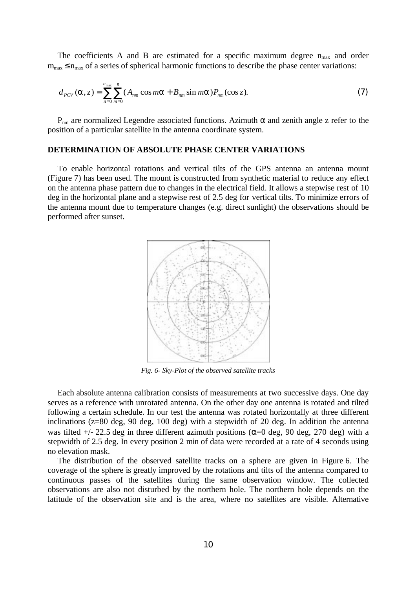The coefficients A and B are estimated for a specific maximum degree  $n_{max}$  and order  $m_{\text{max}} \le n_{\text{max}}$  of a series of spherical harmonic functions to describe the phase center variations:

$$
d_{PCV}(\alpha, z) = \sum_{n=0}^{n_{\text{max}}} \sum_{m=0}^{n} (A_{nm} \cos m\alpha + B_{nm} \sin m\alpha) P_{nm}(\cos z).
$$
 (7)

 $P_{nm}$  are normalized Legendre associated functions. Azimuth  $\alpha$  and zenith angle z refer to the position of a particular satellite in the antenna coordinate system.

## **DETERMINATION OF ABSOLUTE PHASE CENTER VARIATIONS**

To enable horizontal rotations and vertical tilts of the GPS antenna an antenna mount (Figure 7) has been used. The mount is constructed from synthetic material to reduce any effect on the antenna phase pattern due to changes in the electrical field. It allows a stepwise rest of 10 deg in the horizontal plane and a stepwise rest of 2.5 deg for vertical tilts. To minimize errors of the antenna mount due to temperature changes (e.g. direct sunlight) the observations should be performed after sunset.



*Fig. 6- Sky-Plot of the observed satellite tracks*

Each absolute antenna calibration consists of measurements at two successive days. One day serves as a reference with unrotated antenna. On the other day one antenna is rotated and tilted following a certain schedule. In our test the antenna was rotated horizontally at three different inclinations (z=80 deg, 90 deg, 100 deg) with a stepwidth of 20 deg. In addition the antenna was tilted  $+/- 22.5$  deg in three different azimuth positions ( $\alpha=0$  deg, 90 deg, 270 deg) with a stepwidth of 2.5 deg. In every position 2 min of data were recorded at a rate of 4 seconds using no elevation mask.

The distribution of the observed satellite tracks on a sphere are given in Figure 6. The coverage of the sphere is greatly improved by the rotations and tilts of the antenna compared to continuous passes of the satellites during the same observation window. The collected observations are also not disturbed by the northern hole. The northern hole depends on the latitude of the observation site and is the area, where no satellites are visible. Alternative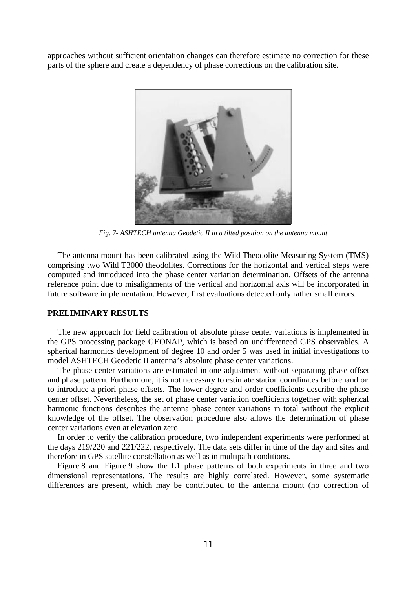approaches without sufficient orientation changes can therefore estimate no correction for these parts of the sphere and create a dependency of phase corrections on the calibration site.



*Fig. 7- ASHTECH antenna Geodetic II in a tilted position on the antenna mount*

The antenna mount has been calibrated using the Wild Theodolite Measuring System (TMS) comprising two Wild T3000 theodolites. Corrections for the horizontal and vertical steps were computed and introduced into the phase center variation determination. Offsets of the antenna reference point due to misalignments of the vertical and horizontal axis will be incorporated in future software implementation. However, first evaluations detected only rather small errors.

## **PRELIMINARY RESULTS**

The new approach for field calibration of absolute phase center variations is implemented in the GPS processing package GEONAP, which is based on undifferenced GPS observables. A spherical harmonics development of degree 10 and order 5 was used in initial investigations to model ASHTECH Geodetic II antenna's absolute phase center variations.

The phase center variations are estimated in one adjustment without separating phase offset and phase pattern. Furthermore, it is not necessary to estimate station coordinates beforehand or to introduce a priori phase offsets. The lower degree and order coefficients describe the phase center offset. Nevertheless, the set of phase center variation coefficients together with spherical harmonic functions describes the antenna phase center variations in total without the explicit knowledge of the offset. The observation procedure also allows the determination of phase center variations even at elevation zero.

In order to verify the calibration procedure, two independent experiments were performed at the days 219/220 and 221/222, respectively. The data sets differ in time of the day and sites and therefore in GPS satellite constellation as well as in multipath conditions.

Figure 8 and Figure 9 show the L1 phase patterns of both experiments in three and two dimensional representations. The results are highly correlated. However, some systematic differences are present, which may be contributed to the antenna mount (no correction of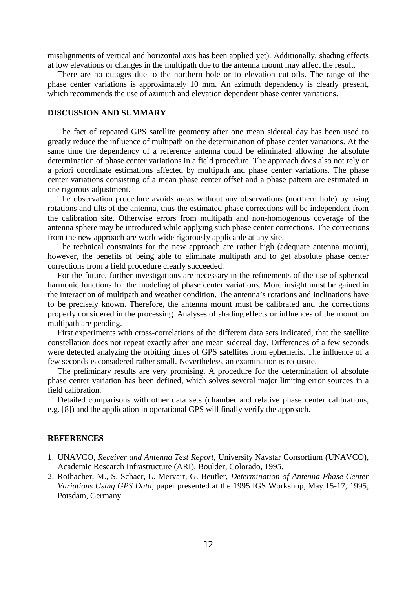misalignments of vertical and horizontal axis has been applied yet). Additionally, shading effects at low elevations or changes in the multipath due to the antenna mount may affect the result.

There are no outages due to the northern hole or to elevation cut-offs. The range of the phase center variations is approximately 10 mm. An azimuth dependency is clearly present, which recommends the use of azimuth and elevation dependent phase center variations.

#### **DISCUSSION AND SUMMARY**

The fact of repeated GPS satellite geometry after one mean sidereal day has been used to greatly reduce the influence of multipath on the determination of phase center variations. At the same time the dependency of a reference antenna could be eliminated allowing the absolute determination of phase center variations in a field procedure. The approach does also not rely on a priori coordinate estimations affected by multipath and phase center variations. The phase center variations consisting of a mean phase center offset and a phase pattern are estimated in one rigorous adjustment.

The observation procedure avoids areas without any observations (northern hole) by using rotations and tilts of the antenna, thus the estimated phase corrections will be independent from the calibration site. Otherwise errors from multipath and non-homogenous coverage of the antenna sphere may be introduced while applying such phase center corrections. The corrections from the new approach are worldwide rigorously applicable at any site.

The technical constraints for the new approach are rather high (adequate antenna mount), however, the benefits of being able to eliminate multipath and to get absolute phase center corrections from a field procedure clearly succeeded.

For the future, further investigations are necessary in the refinements of the use of spherical harmonic functions for the modeling of phase center variations. More insight must be gained in the interaction of multipath and weather condition. The antenna's rotations and inclinations have to be precisely known. Therefore, the antenna mount must be calibrated and the corrections properly considered in the processing. Analyses of shading effects or influences of the mount on multipath are pending.

First experiments with cross-correlations of the different data sets indicated, that the satellite constellation does not repeat exactly after one mean sidereal day. Differences of a few seconds were detected analyzing the orbiting times of GPS satellites from ephemeris. The influence of a few seconds is considered rather small. Nevertheless, an examination is requisite.

The preliminary results are very promising. A procedure for the determination of absolute phase center variation has been defined, which solves several major limiting error sources in a field calibration.

Detailed comparisons with other data sets (chamber and relative phase center calibrations, e.g. [8]) and the application in operational GPS will finally verify the approach.

# **REFERENCES**

- 1. UNAVCO, *Receiver and Antenna Test Report,* University Navstar Consortium (UNAVCO), Academic Research Infrastructure (ARI), Boulder, Colorado, 1995.
- 2. Rothacher, M., S. Schaer, L. Mervart, G. Beutler, *Determination of Antenna Phase Center Variations Using GPS Data*, paper presented at the 1995 IGS Workshop, May 15-17, 1995, Potsdam, Germany.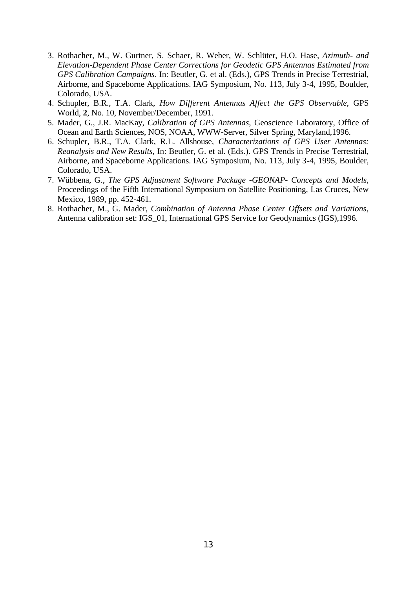- 3. Rothacher, M., W. Gurtner, S. Schaer, R. Weber, W. Schlüter, H.O. Hase, *Azimuth- and Elevation-Dependent Phase Center Corrections for Geodetic GPS Antennas Estimated from GPS Calibration Campaigns*. In: Beutler, G. et al. (Eds.), GPS Trends in Precise Terrestrial, Airborne, and Spaceborne Applications. IAG Symposium, No. 113, July 3-4, 1995, Boulder, Colorado, USA.
- 4. Schupler, B.R., T.A. Clark, *How Different Antennas Affect the GPS Observable*, GPS World, **2**, No. 10, November/December, 1991.
- 5. Mader, G., J.R. MacKay, *Calibration of GPS Antennas*, Geoscience Laboratory, Office of Ocean and Earth Sciences, NOS, NOAA, WWW-Server, Silver Spring, Maryland,1996.
- 6. Schupler, B.R., T.A. Clark, R.L. Allshouse*, Characterizations of GPS User Antennas: Reanalysis and New Results,* In: Beutler, G. et al. (Eds.). GPS Trends in Precise Terrestrial, Airborne, and Spaceborne Applications. IAG Symposium, No. 113, July 3-4, 1995, Boulder, Colorado, USA.
- 7. Wübbena, G., *The GPS Adjustment Software Package -GEONAP- Concepts and Models*, Proceedings of the Fifth International Symposium on Satellite Positioning, Las Cruces, New Mexico, 1989, pp. 452-461.
- 8. Rothacher, M., G. Mader, *Combination of Antenna Phase Center Offsets and Variations*, Antenna calibration set: IGS\_01, International GPS Service for Geodynamics (IGS),1996.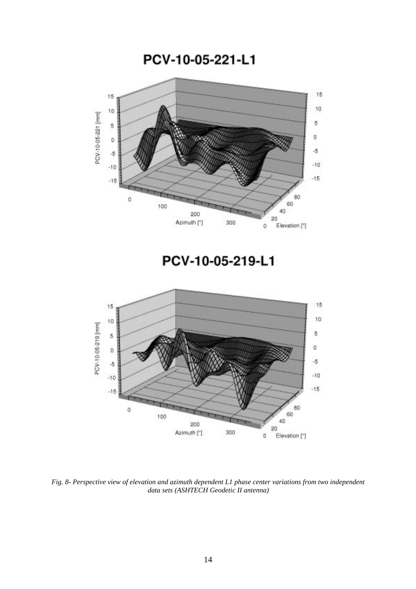PCV-10-05-221-L1



*Fig. 8- Perspective view of elevation and azimuth dependent L1 phase center variations from two independent data sets (ASHTECH Geodetic II antenna)*